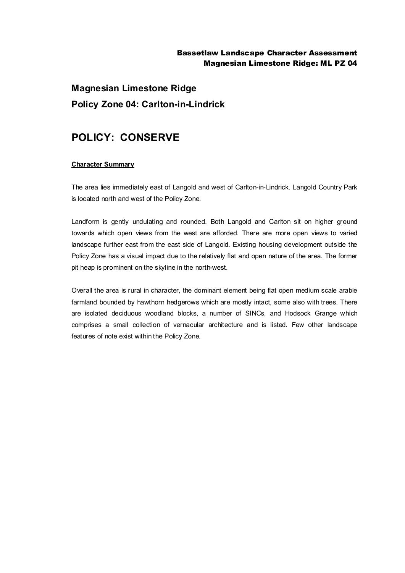### Bassetlaw Landscape Character Assessment Magnesian Limestone Ridge: ML PZ 04

# **Magnesian Limestone Ridge Policy Zone 04: Carlton-in-Lindrick**

## **POLICY: CONSERVE**

#### **Character Summary**

The area lies immediately east of Langold and west of Carlton-in-Lindrick. Langold Country Park is located north and west of the Policy Zone.

Landform is gently undulating and rounded. Both Langold and Carlton sit on higher ground towards which open views from the west are afforded. There are more open views to varied landscape further east from the east side of Langold. Existing housing development outside the Policy Zone has a visual impact due to the relatively flat and open nature of the area. The former pit heap is prominent on the skyline in the north-west.

Overall the area is rural in character, the dominant element being flat open medium scale arable farmland bounded by hawthorn hedgerows which are mostly intact, some also with trees. There are isolated deciduous woodland blocks, a number of SINCs, and Hodsock Grange which comprises a small collection of vernacular architecture and is listed. Few other landscape features of note exist within the Policy Zone.